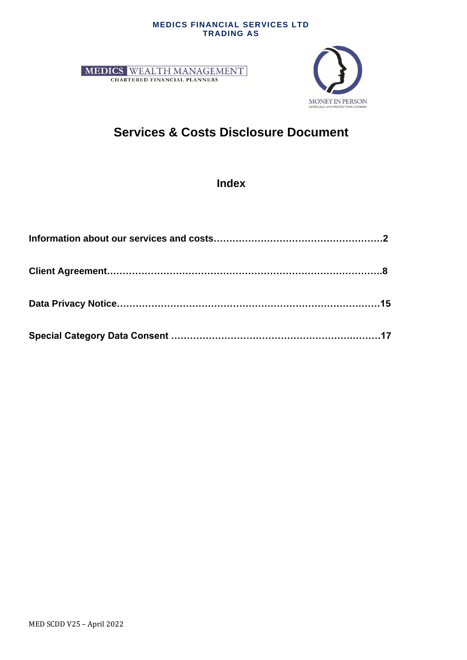#### **MEDICS FINANCIAL SERVICES LTD TRADING AS**





# **Services & Costs Disclosure Document**

**Index**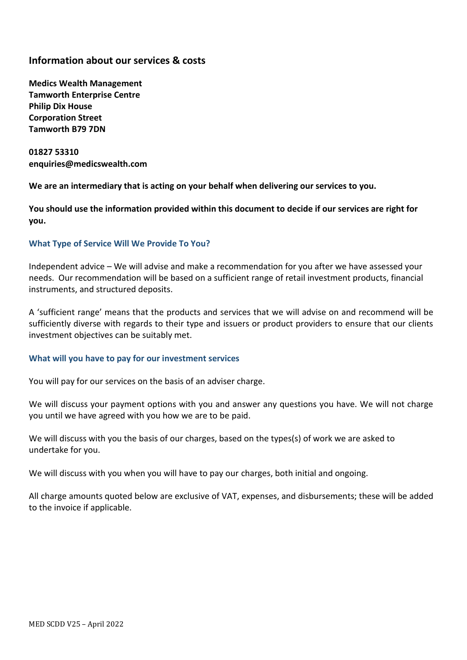## **Information about our services & costs**

**Medics Wealth Management Tamworth Enterprise Centre Philip Dix House Corporation Street Tamworth B79 7DN**

**01827 53310 enquiries@medicswealth.com**

**We are an intermediary that is acting on your behalf when delivering our services to you.** 

**You should use the information provided within this document to decide if our services are right for you.**

## **What Type of Service Will We Provide To You?**

Independent advice – We will advise and make a recommendation for you after we have assessed your needs. Our recommendation will be based on a sufficient range of retail investment products, financial instruments, and structured deposits.

A 'sufficient range' means that the products and services that we will advise on and recommend will be sufficiently diverse with regards to their type and issuers or product providers to ensure that our clients investment objectives can be suitably met.

## **What will you have to pay for our investment services**

You will pay for our services on the basis of an adviser charge.

We will discuss your payment options with you and answer any questions you have. We will not charge you until we have agreed with you how we are to be paid.

We will discuss with you the basis of our charges, based on the types(s) of work we are asked to undertake for you.

We will discuss with you when you will have to pay our charges, both initial and ongoing.

All charge amounts quoted below are exclusive of VAT, expenses, and disbursements; these will be added to the invoice if applicable.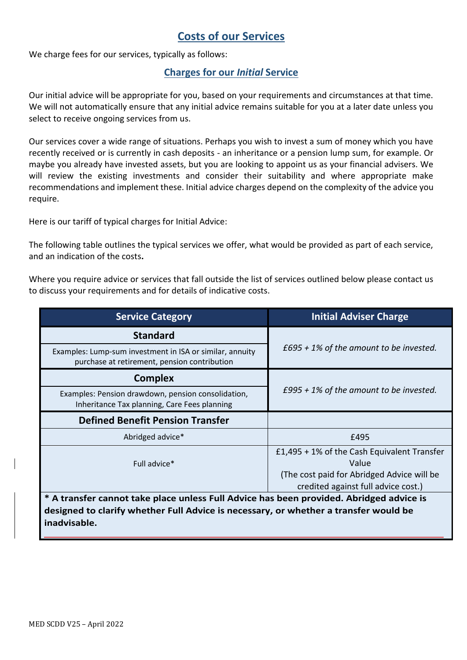## **Costs of our Services**

We charge fees for our services, typically as follows:

## **Charges for our** *Initial* **Service**

Our initial advice will be appropriate for you, based on your requirements and circumstances at that time. We will not automatically ensure that any initial advice remains suitable for you at a later date unless you select to receive ongoing services from us.

Our services cover a wide range of situations. Perhaps you wish to invest a sum of money which you have recently received or is currently in cash deposits - an inheritance or a pension lump sum, for example. Or maybe you already have invested assets, but you are looking to appoint us as your financial advisers. We will review the existing investments and consider their suitability and where appropriate make recommendations and implement these. Initial advice charges depend on the complexity of the advice you require.

Here is our tariff of typical charges for Initial Advice:

The following table outlines the typical services we offer, what would be provided as part of each service, and an indication of the costs**.** 

Where you require advice or services that fall outside the list of services outlined below please contact us to discuss your requirements and for details of indicative costs.

| <b>Service Category</b>                                                                                  | <b>Initial Adviser Charge</b>                                                                                                                |  |  |
|----------------------------------------------------------------------------------------------------------|----------------------------------------------------------------------------------------------------------------------------------------------|--|--|
| <b>Standard</b>                                                                                          |                                                                                                                                              |  |  |
| Examples: Lump-sum investment in ISA or similar, annuity<br>purchase at retirement, pension contribution | £695 + 1% of the amount to be invested.                                                                                                      |  |  |
| <b>Complex</b>                                                                                           |                                                                                                                                              |  |  |
| Examples: Pension drawdown, pension consolidation,<br>Inheritance Tax planning, Care Fees planning       | £995 + 1% of the amount to be invested.                                                                                                      |  |  |
| <b>Defined Benefit Pension Transfer</b>                                                                  |                                                                                                                                              |  |  |
| Abridged advice*                                                                                         | £495                                                                                                                                         |  |  |
| Full advice*                                                                                             | $£1,495 + 1\%$ of the Cash Equivalent Transfer<br>Value<br>(The cost paid for Abridged Advice will be<br>credited against full advice cost.) |  |  |
| * A transfer cannot take place unless Full Advice has been provided. Abridged advice is                  |                                                                                                                                              |  |  |
| designed to clarify whether Full Advice is necessary, or whether a transfer would be<br>inadvisable.     |                                                                                                                                              |  |  |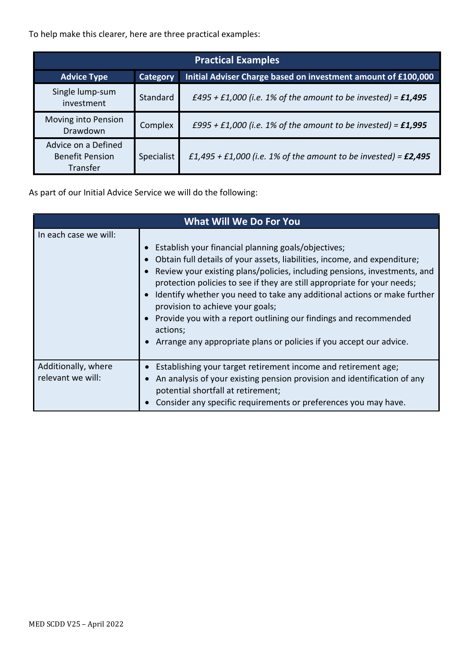To help make this clearer, here are three practical examples:

| <b>Practical Examples</b>                                 |                 |                                                                   |  |
|-----------------------------------------------------------|-----------------|-------------------------------------------------------------------|--|
| <b>Advice Type</b>                                        | <b>Category</b> | Initial Adviser Charge based on investment amount of £100,000     |  |
| Single lump-sum<br>investment                             | Standard        | £495 + £1,000 (i.e. 1% of the amount to be invested) = $£1,495$   |  |
| Moving into Pension<br>Drawdown                           | Complex         | £995 + £1,000 (i.e. 1% of the amount to be invested) = $£1,995$   |  |
| Advice on a Defined<br><b>Benefit Pension</b><br>Transfer | Specialist      | £1,495 + £1,000 (i.e. 1% of the amount to be invested) = $£2,495$ |  |

As part of our Initial Advice Service we will do the following:

| <b>What Will We Do For You</b>           |                                                                                                                                                                                                                                                                                                                                                                                                                                                                                                                                                                  |  |  |
|------------------------------------------|------------------------------------------------------------------------------------------------------------------------------------------------------------------------------------------------------------------------------------------------------------------------------------------------------------------------------------------------------------------------------------------------------------------------------------------------------------------------------------------------------------------------------------------------------------------|--|--|
| In each case we will:                    | Establish your financial planning goals/objectives;<br>Obtain full details of your assets, liabilities, income, and expenditure;<br>Review your existing plans/policies, including pensions, investments, and<br>protection policies to see if they are still appropriate for your needs;<br>Identify whether you need to take any additional actions or make further<br>provision to achieve your goals;<br>Provide you with a report outlining our findings and recommended<br>actions;<br>Arrange any appropriate plans or policies if you accept our advice. |  |  |
| Additionally, where<br>relevant we will: | Establishing your target retirement income and retirement age;<br>An analysis of your existing pension provision and identification of any<br>potential shortfall at retirement;<br>Consider any specific requirements or preferences you may have.                                                                                                                                                                                                                                                                                                              |  |  |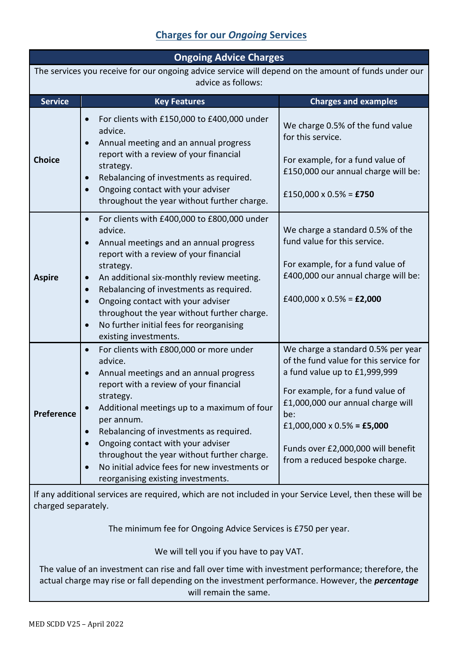# **Charges for our** *Ongoing* **Services**

| <b>Ongoing Advice Charges</b>                                                                                                    |                                                                                                                                                                                                                                                                                                                                                                                                                                                     |                                                                                                                                                                                                                                                                                                     |  |
|----------------------------------------------------------------------------------------------------------------------------------|-----------------------------------------------------------------------------------------------------------------------------------------------------------------------------------------------------------------------------------------------------------------------------------------------------------------------------------------------------------------------------------------------------------------------------------------------------|-----------------------------------------------------------------------------------------------------------------------------------------------------------------------------------------------------------------------------------------------------------------------------------------------------|--|
| The services you receive for our ongoing advice service will depend on the amount of funds under our<br>advice as follows:       |                                                                                                                                                                                                                                                                                                                                                                                                                                                     |                                                                                                                                                                                                                                                                                                     |  |
| <b>Service</b>                                                                                                                   | <b>Key Features</b>                                                                                                                                                                                                                                                                                                                                                                                                                                 | <b>Charges and examples</b>                                                                                                                                                                                                                                                                         |  |
| <b>Choice</b>                                                                                                                    | For clients with £150,000 to £400,000 under<br>advice.<br>Annual meeting and an annual progress<br>report with a review of your financial<br>strategy.<br>Rebalancing of investments as required.<br>Ongoing contact with your adviser<br>throughout the year without further charge.                                                                                                                                                               | We charge 0.5% of the fund value<br>for this service.<br>For example, for a fund value of<br>£150,000 our annual charge will be:<br>£150,000 x 0.5% = £750                                                                                                                                          |  |
| <b>Aspire</b>                                                                                                                    | For clients with £400,000 to £800,000 under<br>$\bullet$<br>advice.<br>Annual meetings and an annual progress<br>report with a review of your financial<br>strategy.<br>An additional six-monthly review meeting.<br>Rebalancing of investments as required.<br>Ongoing contact with your adviser<br>throughout the year without further charge.<br>No further initial fees for reorganising<br>existing investments.                               | We charge a standard 0.5% of the<br>fund value for this service.<br>For example, for a fund value of<br>£400,000 our annual charge will be:<br>£400,000 x $0.5\%$ = £2,000                                                                                                                          |  |
| <b>Preference</b>                                                                                                                | For clients with £800,000 or more under<br>$\bullet$<br>advice.<br>Annual meetings and an annual progress<br>report with a review of your financial<br>strategy.<br>Additional meetings up to a maximum of four<br>per annum.<br>Rebalancing of investments as required.<br>Ongoing contact with your adviser<br>throughout the year without further charge.<br>No initial advice fees for new investments or<br>reorganising existing investments. | We charge a standard 0.5% per year<br>of the fund value for this service for<br>a fund value up to £1,999,999<br>For example, for a fund value of<br>£1,000,000 our annual charge will<br>be:<br>£1,000,000 x 0.5% = £5,000<br>Funds over £2,000,000 will benefit<br>from a reduced bespoke charge. |  |
| If any additional services are required, which are not included in your Service Level, then these will be<br>charged separately. |                                                                                                                                                                                                                                                                                                                                                                                                                                                     |                                                                                                                                                                                                                                                                                                     |  |

The minimum fee for Ongoing Advice Services is £750 per year.

We will tell you if you have to pay VAT.

The value of an investment can rise and fall over time with investment performance; therefore, the actual charge may rise or fall depending on the investment performance. However, the *percentage* will remain the same.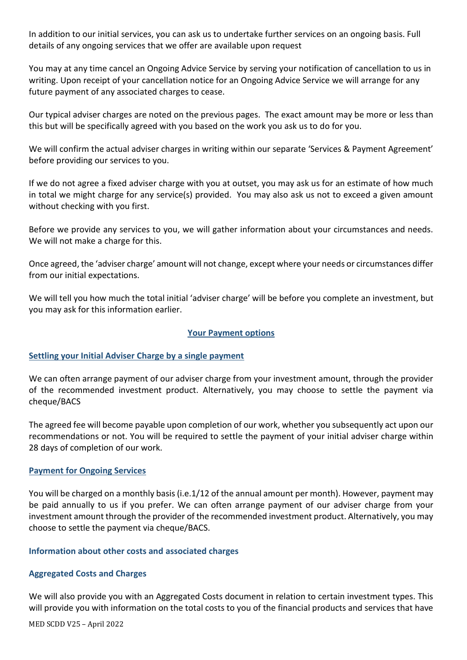In addition to our initial services, you can ask us to undertake further services on an ongoing basis. Full details of any ongoing services that we offer are available upon request

You may at any time cancel an Ongoing Advice Service by serving your notification of cancellation to us in writing. Upon receipt of your cancellation notice for an Ongoing Advice Service we will arrange for any future payment of any associated charges to cease.

Our typical adviser charges are noted on the previous pages. The exact amount may be more or less than this but will be specifically agreed with you based on the work you ask us to do for you.

We will confirm the actual adviser charges in writing within our separate 'Services & Payment Agreement' before providing our services to you.

If we do not agree a fixed adviser charge with you at outset, you may ask us for an estimate of how much in total we might charge for any service(s) provided. You may also ask us not to exceed a given amount without checking with you first.

Before we provide any services to you, we will gather information about your circumstances and needs. We will not make a charge for this.

Once agreed, the 'adviser charge' amount will not change, except where your needs or circumstances differ from our initial expectations.

We will tell you how much the total initial 'adviser charge' will be before you complete an investment, but you may ask for this information earlier.

## **Your Payment options**

## **Settling your Initial Adviser Charge by a single payment**

We can often arrange payment of our adviser charge from your investment amount, through the provider of the recommended investment product. Alternatively, you may choose to settle the payment via cheque/BACS

The agreed fee will become payable upon completion of our work, whether you subsequently act upon our recommendations or not. You will be required to settle the payment of your initial adviser charge within 28 days of completion of our work.

## **Payment for Ongoing Services**

You will be charged on a monthly basis (i.e.1/12 of the annual amount per month). However, payment may be paid annually to us if you prefer. We can often arrange payment of our adviser charge from your investment amount through the provider of the recommended investment product. Alternatively, you may choose to settle the payment via cheque/BACS.

## **Information about other costs and associated charges**

## **Aggregated Costs and Charges**

We will also provide you with an Aggregated Costs document in relation to certain investment types. This will provide you with information on the total costs to you of the financial products and services that have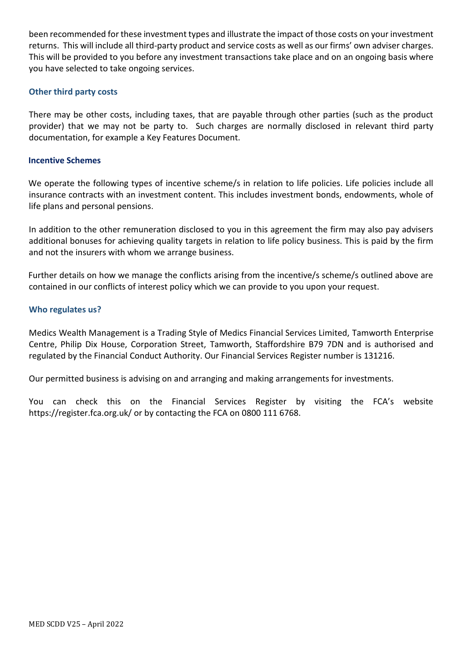been recommended for these investment types and illustrate the impact of those costs on your investment returns. This will include all third-party product and service costs as well as our firms' own adviser charges. This will be provided to you before any investment transactions take place and on an ongoing basis where you have selected to take ongoing services.

## **Other third party costs**

There may be other costs, including taxes, that are payable through other parties (such as the product provider) that we may not be party to. Such charges are normally disclosed in relevant third party documentation, for example a Key Features Document.

## **Incentive Schemes**

We operate the following types of incentive scheme/s in relation to life policies. Life policies include all insurance contracts with an investment content. This includes investment bonds, endowments, whole of life plans and personal pensions.

In addition to the other remuneration disclosed to you in this agreement the firm may also pay advisers additional bonuses for achieving quality targets in relation to life policy business. This is paid by the firm and not the insurers with whom we arrange business.

Further details on how we manage the conflicts arising from the incentive/s scheme/s outlined above are contained in our conflicts of interest policy which we can provide to you upon your request.

## **Who regulates us?**

Medics Wealth Management is a Trading Style of Medics Financial Services Limited, Tamworth Enterprise Centre, Philip Dix House, Corporation Street, Tamworth, Staffordshire B79 7DN and is authorised and regulated by the Financial Conduct Authority. Our Financial Services Register number is 131216.

Our permitted business is advising on and arranging and making arrangements for investments.

You can check this on the Financial Services Register by visiting the FCA's website https://register.fca.org.uk/ or by contacting the FCA on 0800 111 6768.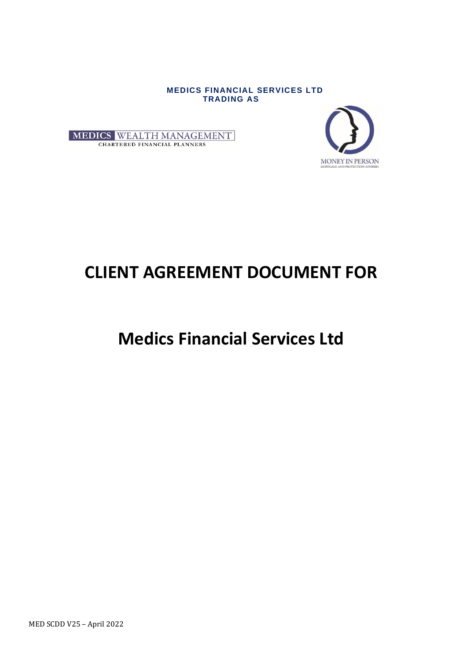**MEDICS FINANCIAL SERVICES LTD TRADING AS**





# **CLIENT AGREEMENT DOCUMENT FOR**

# **Medics Financial Services Ltd**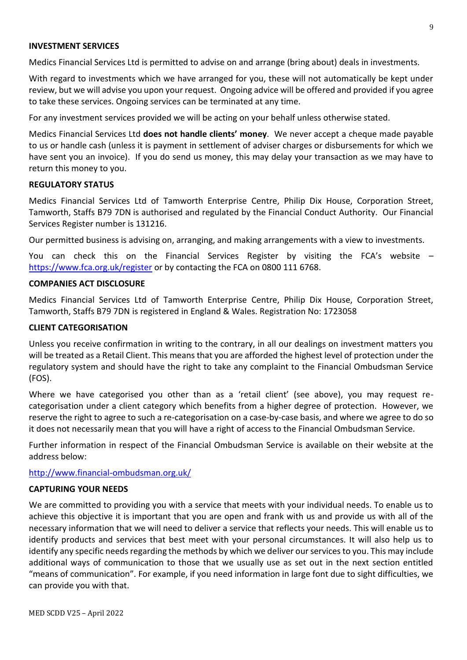#### **INVESTMENT SERVICES**

Medics Financial Services Ltd is permitted to advise on and arrange (bring about) deals in investments.

With regard to investments which we have arranged for you, these will not automatically be kept under review, but we will advise you upon your request. Ongoing advice will be offered and provided if you agree to take these services. Ongoing services can be terminated at any time.

For any investment services provided we will be acting on your behalf unless otherwise stated.

Medics Financial Services Ltd **does not handle clients' money**. We never accept a cheque made payable to us or handle cash (unless it is payment in settlement of adviser charges or disbursements for which we have sent you an invoice). If you do send us money, this may delay your transaction as we may have to return this money to you.

#### **REGULATORY STATUS**

Medics Financial Services Ltd of Tamworth Enterprise Centre, Philip Dix House, Corporation Street, Tamworth, Staffs B79 7DN is authorised and regulated by the Financial Conduct Authority. Our Financial Services Register number is 131216.

Our permitted business is advising on, arranging, and making arrangements with a view to investments.

You can check this on the Financial Services Register by visiting the FCA's website – <https://www.fca.org.uk/register> or by contacting the FCA on 0800 111 6768.

#### **COMPANIES ACT DISCLOSURE**

Medics Financial Services Ltd of Tamworth Enterprise Centre, Philip Dix House, Corporation Street, Tamworth, Staffs B79 7DN is registered in England & Wales. Registration No: 1723058

#### **CLIENT CATEGORISATION**

Unless you receive confirmation in writing to the contrary, in all our dealings on investment matters you will be treated as a Retail Client. This means that you are afforded the highest level of protection under the regulatory system and should have the right to take any complaint to the Financial Ombudsman Service (FOS).

Where we have categorised you other than as a 'retail client' (see above), you may request recategorisation under a client category which benefits from a higher degree of protection. However, we reserve the right to agree to such a re-categorisation on a case-by-case basis, and where we agree to do so it does not necessarily mean that you will have a right of access to the Financial Ombudsman Service.

Further information in respect of the Financial Ombudsman Service is available on their website at the address below:

<http://www.financial-ombudsman.org.uk/>

#### **CAPTURING YOUR NEEDS**

We are committed to providing you with a service that meets with your individual needs. To enable us to achieve this objective it is important that you are open and frank with us and provide us with all of the necessary information that we will need to deliver a service that reflects your needs. This will enable us to identify products and services that best meet with your personal circumstances. It will also help us to identify any specific needs regarding the methods by which we deliver our services to you. This may include additional ways of communication to those that we usually use as set out in the next section entitled "means of communication". For example, if you need information in large font due to sight difficulties, we can provide you with that.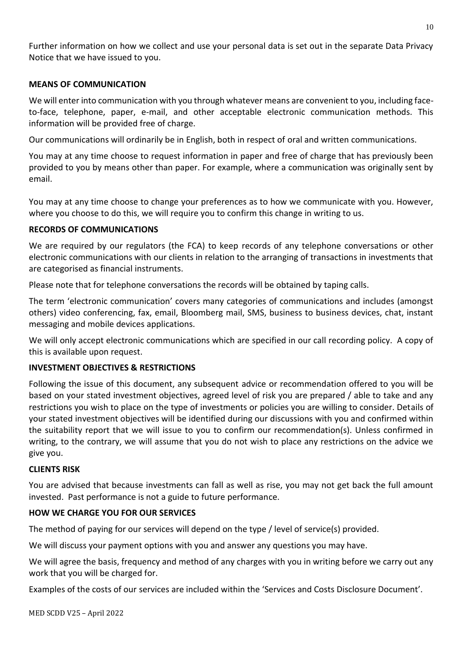Further information on how we collect and use your personal data is set out in the separate Data Privacy Notice that we have issued to you.

## **MEANS OF COMMUNICATION**

We will enter into communication with you through whatever means are convenient to you, including faceto-face, telephone, paper, e-mail, and other acceptable electronic communication methods. This information will be provided free of charge.

Our communications will ordinarily be in English, both in respect of oral and written communications.

You may at any time choose to request information in paper and free of charge that has previously been provided to you by means other than paper. For example, where a communication was originally sent by email.

You may at any time choose to change your preferences as to how we communicate with you. However, where you choose to do this, we will require you to confirm this change in writing to us.

## **RECORDS OF COMMUNICATIONS**

We are required by our regulators (the FCA) to keep records of any telephone conversations or other electronic communications with our clients in relation to the arranging of transactions in investments that are categorised as financial instruments.

Please note that for telephone conversations the records will be obtained by taping calls.

The term 'electronic communication' covers many categories of communications and includes (amongst others) video conferencing, fax, email, Bloomberg mail, SMS, business to business devices, chat, instant messaging and mobile devices applications.

We will only accept electronic communications which are specified in our call recording policy. A copy of this is available upon request.

## **INVESTMENT OBJECTIVES & RESTRICTIONS**

Following the issue of this document, any subsequent advice or recommendation offered to you will be based on your stated investment objectives, agreed level of risk you are prepared / able to take and any restrictions you wish to place on the type of investments or policies you are willing to consider. Details of your stated investment objectives will be identified during our discussions with you and confirmed within the suitability report that we will issue to you to confirm our recommendation(s). Unless confirmed in writing, to the contrary, we will assume that you do not wish to place any restrictions on the advice we give you.

## **CLIENTS RISK**

You are advised that because investments can fall as well as rise, you may not get back the full amount invested. Past performance is not a guide to future performance.

## **HOW WE CHARGE YOU FOR OUR SERVICES**

The method of paying for our services will depend on the type / level of service(s) provided.

We will discuss your payment options with you and answer any questions you may have.

We will agree the basis, frequency and method of any charges with you in writing before we carry out any work that you will be charged for.

Examples of the costs of our services are included within the 'Services and Costs Disclosure Document'.

MED SCDD V25 – April 2022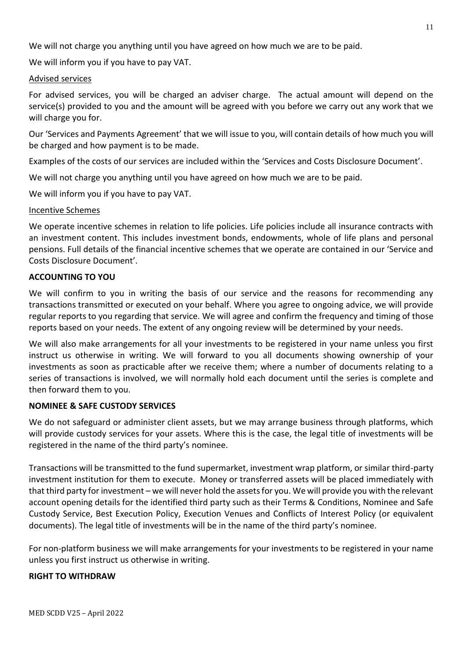We will not charge you anything until you have agreed on how much we are to be paid.

We will inform you if you have to pay VAT.

## Advised services

For advised services, you will be charged an adviser charge. The actual amount will depend on the service(s) provided to you and the amount will be agreed with you before we carry out any work that we will charge you for.

Our 'Services and Payments Agreement' that we will issue to you, will contain details of how much you will be charged and how payment is to be made.

Examples of the costs of our services are included within the 'Services and Costs Disclosure Document'.

We will not charge you anything until you have agreed on how much we are to be paid.

We will inform you if you have to pay VAT.

## Incentive Schemes

We operate incentive schemes in relation to life policies. Life policies include all insurance contracts with an investment content. This includes investment bonds, endowments, whole of life plans and personal pensions. Full details of the financial incentive schemes that we operate are contained in our 'Service and Costs Disclosure Document'.

## **ACCOUNTING TO YOU**

We will confirm to you in writing the basis of our service and the reasons for recommending any transactions transmitted or executed on your behalf. Where you agree to ongoing advice, we will provide regular reports to you regarding that service. We will agree and confirm the frequency and timing of those reports based on your needs. The extent of any ongoing review will be determined by your needs.

We will also make arrangements for all your investments to be registered in your name unless you first instruct us otherwise in writing. We will forward to you all documents showing ownership of your investments as soon as practicable after we receive them; where a number of documents relating to a series of transactions is involved, we will normally hold each document until the series is complete and then forward them to you.

## **NOMINEE & SAFE CUSTODY SERVICES**

We do not safeguard or administer client assets, but we may arrange business through platforms, which will provide custody services for your assets. Where this is the case, the legal title of investments will be registered in the name of the third party's nominee.

Transactions will be transmitted to the fund supermarket, investment wrap platform, or similar third-party investment institution for them to execute. Money or transferred assets will be placed immediately with that third party for investment – we will never hold the assets for you. We will provide you with the relevant account opening details for the identified third party such as their Terms & Conditions, Nominee and Safe Custody Service, Best Execution Policy, Execution Venues and Conflicts of Interest Policy (or equivalent documents). The legal title of investments will be in the name of the third party's nominee.

For non-platform business we will make arrangements for your investments to be registered in your name unless you first instruct us otherwise in writing.

## **RIGHT TO WITHDRAW**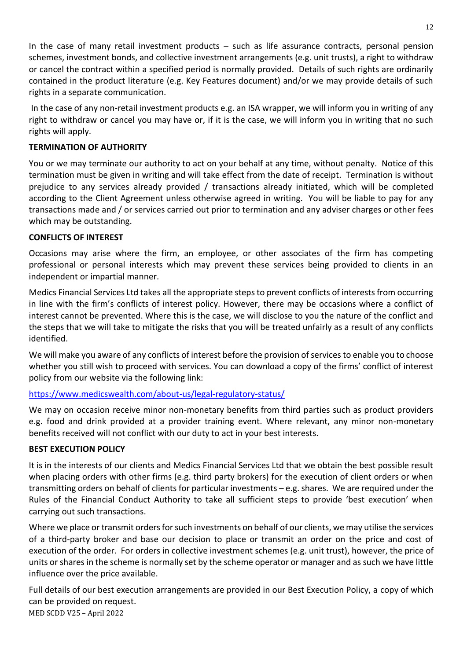In the case of many retail investment products – such as life assurance contracts, personal pension schemes, investment bonds, and collective investment arrangements (e.g. unit trusts), a right to withdraw or cancel the contract within a specified period is normally provided. Details of such rights are ordinarily contained in the product literature (e.g. Key Features document) and/or we may provide details of such rights in a separate communication.

In the case of any non-retail investment products e.g. an ISA wrapper, we will inform you in writing of any right to withdraw or cancel you may have or, if it is the case, we will inform you in writing that no such rights will apply.

## **TERMINATION OF AUTHORITY**

You or we may terminate our authority to act on your behalf at any time, without penalty. Notice of this termination must be given in writing and will take effect from the date of receipt. Termination is without prejudice to any services already provided / transactions already initiated, which will be completed according to the Client Agreement unless otherwise agreed in writing. You will be liable to pay for any transactions made and / or services carried out prior to termination and any adviser charges or other fees which may be outstanding.

## **CONFLICTS OF INTEREST**

Occasions may arise where the firm, an employee, or other associates of the firm has competing professional or personal interests which may prevent these services being provided to clients in an independent or impartial manner.

Medics Financial Services Ltd takes all the appropriate steps to prevent conflicts of interests from occurring in line with the firm's conflicts of interest policy. However, there may be occasions where a conflict of interest cannot be prevented. Where this is the case, we will disclose to you the nature of the conflict and the steps that we will take to mitigate the risks that you will be treated unfairly as a result of any conflicts identified.

We will make you aware of any conflicts of interest before the provision of services to enable you to choose whether you still wish to proceed with services. You can download a copy of the firms' conflict of interest policy from our website via the following link:

## <https://www.medicswealth.com/about-us/legal-regulatory-status/>

We may on occasion receive minor non-monetary benefits from third parties such as product providers e.g. food and drink provided at a provider training event. Where relevant, any minor non-monetary benefits received will not conflict with our duty to act in your best interests.

## **BEST EXECUTION POLICY**

It is in the interests of our clients and Medics Financial Services Ltd that we obtain the best possible result when placing orders with other firms (e.g. third party brokers) for the execution of client orders or when transmitting orders on behalf of clients for particular investments – e.g. shares. We are required under the Rules of the Financial Conduct Authority to take all sufficient steps to provide 'best execution' when carrying out such transactions.

Where we place or transmit orders for such investments on behalf of our clients, we may utilise the services of a third-party broker and base our decision to place or transmit an order on the price and cost of execution of the order. For orders in collective investment schemes (e.g. unit trust), however, the price of units or shares in the scheme is normally set by the scheme operator or manager and as such we have little influence over the price available.

MED SCDD V25 – April 2022 Full details of our best execution arrangements are provided in our Best Execution Policy, a copy of which can be provided on request.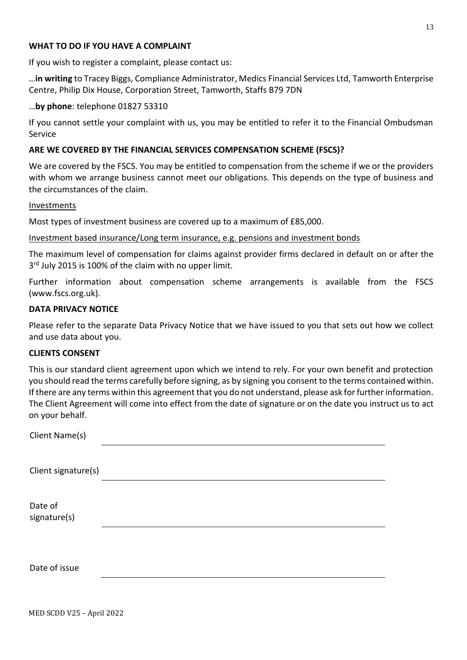#### **WHAT TO DO IF YOU HAVE A COMPLAINT**

If you wish to register a complaint, please contact us:

…**in writing** to Tracey Biggs, Compliance Administrator, Medics Financial Services Ltd, Tamworth Enterprise Centre, Philip Dix House, Corporation Street, Tamworth, Staffs B79 7DN

#### …**by phone**: telephone 01827 53310

If you cannot settle your complaint with us, you may be entitled to refer it to the Financial Ombudsman Service

#### **ARE WE COVERED BY THE FINANCIAL SERVICES COMPENSATION SCHEME (FSCS)?**

We are covered by the FSCS. You may be entitled to compensation from the scheme if we or the providers with whom we arrange business cannot meet our obligations. This depends on the type of business and the circumstances of the claim.

#### Investments

Most types of investment business are covered up to a maximum of £85,000.

#### Investment based insurance/Long term insurance, e.g. pensions and investment bonds

The maximum level of compensation for claims against provider firms declared in default on or after the 3<sup>rd</sup> July 2015 is 100% of the claim with no upper limit.

Further information about compensation scheme arrangements is available from the FSCS (www.fscs.org.uk)*.*

## **DATA PRIVACY NOTICE**

Please refer to the separate Data Privacy Notice that we have issued to you that sets out how we collect and use data about you.

#### **CLIENTS CONSENT**

This is our standard client agreement upon which we intend to rely. For your own benefit and protection you should read the terms carefully before signing, as by signing you consent to the terms contained within. If there are any terms within this agreement that you do not understand, please ask for further information. The Client Agreement will come into effect from the date of signature or on the date you instruct us to act on your behalf.

| Client Name(s)          |  |  |
|-------------------------|--|--|
| Client signature(s)     |  |  |
| Date of<br>signature(s) |  |  |
| Date of issue           |  |  |

MED SCDD V25 – April 2022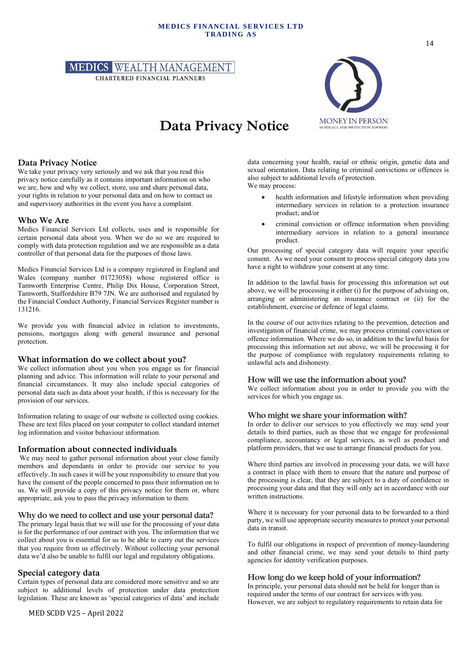#### **MEDICS FINANCIAL SERVICES LTD TRADING AS**



# **Data Privacy Notice**



data concerning your health, racial or ethnic origin, genetic data and sexual orientation. Data relating to criminal convictions or offences is

Our processing of special category data will require your specific consent. As we need your consent to process special category data you

In addition to the lawful basis for processing this information set out above, we will be processing it either (i) for the purpose of advising on, arranging or administering an insurance contract or (ii) for the

In the course of our activities relating to the prevention, detection and investigation of financial crime, we may process criminal conviction or offence information. Where we do so, in addition to the lawful basis for processing this information set out above, we will be processing it for

health information and lifestyle information when providing intermediary services in relation to a protection insurance

• criminal conviction or offence information when providing intermediary services in relation to a general insurance

also subject to additional levels of protection.

have a right to withdraw your consent at any time.

establishment, exercise or defence of legal claims.

product; and/or

product.

We may process:

#### **Data Privacy Notice**

We take your privacy very seriously and we ask that you read this privacy notice carefully as it contains important information on who we are, how and why we collect, store, use and share personal data, your rights in relation to your personal data and on how to contact us and supervisory authorities in the event you have a complaint.

#### **Who We Are**

Medics Financial Services Ltd collects, uses and is responsible for certain personal data about you. When we do so we are required to comply with data protection regulation and we are responsible as a data controller of that personal data for the purposes of those laws.

Medics Financial Services Ltd is a company registered in England and Wales (company number 01723058) whose registered office is Tamworth Enterprise Centre, Philip Dix House, Corporation Street, Tamworth, Staffordshire B79 7JN. We are authorised and regulated by the Financial Conduct Authority, Financial Services Register number is 131216.

We provide you with financial advice in relation to investments, pensions, mortgages along with general insurance and personal protection.

#### **What information do we collect about you?**

We collect information about you when you engage us for financial planning and advice. This information will relate to your personal and financial circumstances. It may also include special categories of personal data such as data about your health, if this is necessary for the provision of our services.

Information relating to usage of our website is collected using cookies. These are text files placed on your computer to collect standard internet log information and visitor behaviour information.

#### **Information about connected individuals**

We may need to gather personal information about your close family members and dependants in order to provide our service to you effectively. In such cases it will be your responsibility to ensure that you have the consent of the people concerned to pass their information on to us. We will provide a copy of this privacy notice for them or, where appropriate, ask you to pass the privacy information to them.

#### **Why do we need to collect and use your personal data?**

The primary legal basis that we will use for the processing of your data is for the performance of our contract with you. The information that we collect about you is essential for us to be able to carry out the services that you require from us effectively. Without collecting your personal data we'd also be unable to fulfil our legal and regulatory obligations.

#### **Special category data**

Certain types of personal data are considered more sensitive and so are subject to additional levels of protection under data protection legislation. These are known as 'special categories of data' and include

the purpose of compliance with regulatory requirements relating to unlawful acts and dishonesty. **How will we use the information about you?** We collect information about you in order to provide you with the

services for which you engage us.

#### **Who might we share your information with?**

In order to deliver our services to you effectively we may send your details to third parties, such as those that we engage for professional compliance, accountancy or legal services, as well as product and platform providers, that we use to arrange financial products for you.

Where third parties are involved in processing your data, we will have a contract in place with them to ensure that the nature and purpose of the processing is clear, that they are subject to a duty of confidence in processing your data and that they will only act in accordance with our written instructions.

Where it is necessary for your personal data to be forwarded to a third party, we will use appropriate security measures to protect your personal data in transit.

To fulfil our obligations in respect of prevention of money-laundering and other financial crime, we may send your details to third party agencies for identity verification purposes.

#### **How long do we keep hold of your information?**

In principle, your personal data should not be held for longer than is required under the terms of our contract for services with you. However, we are subject to regulatory requirements to retain data for

14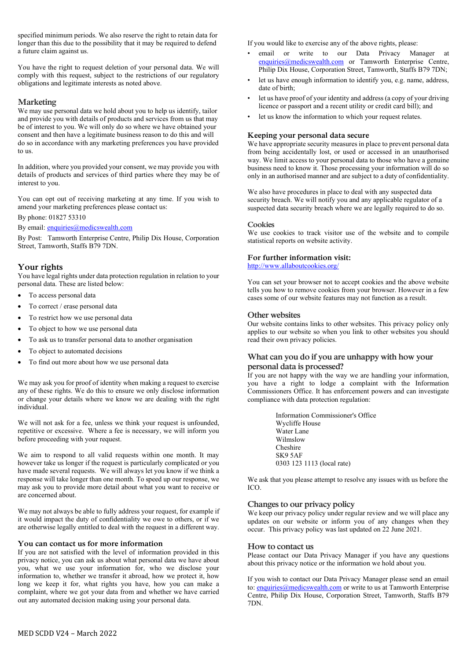specified minimum periods. We also reserve the right to retain data for longer than this due to the possibility that it may be required to defend a future claim against us.

You have the right to request deletion of your personal data. We will comply with this request, subject to the restrictions of our regulatory obligations and legitimate interests as noted above.

#### **Marketing**

We may use personal data we hold about you to help us identify, tailor and provide you with details of products and services from us that may be of interest to you. We will only do so where we have obtained your consent and then have a legitimate business reason to do this and will do so in accordance with any marketing preferences you have provided to us.

In addition, where you provided your consent, we may provide you with details of products and services of third parties where they may be of interest to you.

You can opt out of receiving marketing at any time. If you wish to amend your marketing preferences please contact us:

By phone: 01827 53310

By email: [enquiries@medicswealth.com](mailto:enquiries@medicswealth.com)

By Post: Tamworth Enterprise Centre, Philip Dix House, Corporation Street, Tamworth, Staffs B79 7DN.

#### **Your rights**

You have legal rights under data protection regulation in relation to your personal data. These are listed below:

- To access personal data
- To correct / erase personal data
- To restrict how we use personal data
- To object to how we use personal data
- To ask us to transfer personal data to another organisation
- To object to automated decisions
- To find out more about how we use personal data

We may ask you for proof of identity when making a request to exercise any of these rights. We do this to ensure we only disclose information or change your details where we know we are dealing with the right individual.

We will not ask for a fee, unless we think your request is unfounded, repetitive or excessive. Where a fee is necessary, we will inform you before proceeding with your request.

We aim to respond to all valid requests within one month. It may however take us longer if the request is particularly complicated or you have made several requests. We will always let you know if we think a response will take longer than one month. To speed up our response, we may ask you to provide more detail about what you want to receive or are concerned about.

We may not always be able to fully address your request, for example if it would impact the duty of confidentiality we owe to others, or if we are otherwise legally entitled to deal with the request in a different way.

#### **You can contact us for more information**

If you are not satisfied with the level of information provided in this privacy notice, you can ask us about what personal data we have about you, what we use your information for, who we disclose your information to, whether we transfer it abroad, how we protect it, how long we keep it for, what rights you have, how you can make a complaint, where we got your data from and whether we have carried out any automated decision making using your personal data.

If you would like to exercise any of the above rights, please:

- email or write to our Data Privacy Manager at [enquiries@medicswealth.com](mailto:enquiries@medicswealth.com) or Tamworth Enterprise Centre, Philip Dix House, Corporation Street, Tamworth, Staffs B79 7DN;
- let us have enough information to identify you, e.g. name, address, date of birth;
- let us have proof of your identity and address (a copy of your driving licence or passport and a recent utility or credit card bill); and
- let us know the information to which your request relates.

#### **Keeping your personal data secure**

We have appropriate security measures in place to prevent personal data from being accidentally lost, or used or accessed in an unauthorised way. We limit access to your personal data to those who have a genuine business need to know it. Those processing your information will do so only in an authorised manner and are subject to a duty of confidentiality.

We also have procedures in place to deal with any suspected data security breach. We will notify you and any applicable regulator of a suspected data security breach where we are legally required to do so.

#### **Cookies**

We use cookies to track visitor use of the website and to compile statistical reports on website activity.

#### **For further information visit:**

<http://www.allaboutcookies.org/>

You can set your browser not to accept cookies and the above website tells you how to remove cookies from your browser. However in a few cases some of our website features may not function as a result.

#### **Other websites**

Our website contains links to other websites. This privacy policy only applies to our website so when you link to other websites you should read their own privacy policies.

#### **What can you do if you are unhappy with how your personal data is processed?**

If you are not happy with the way we are handling your information, you have a right to lodge a complaint with the Information Commissioners Office. It has enforcement powers and can investigate compliance with data protection regulation:

> Information Commissioner's Office Wycliffe House Water Lane Wilmslow Cheshire SK9 5AF 0303 123 1113 (local rate)

We ask that you please attempt to resolve any issues with us before the ICO.

#### **Changes to our privacy policy**

We keep our privacy policy under regular review and we will place any updates on our website or inform you of any changes when they occur. This privacy policy was last updated on 22 June 2021.

#### **How to contact us**

Please contact our Data Privacy Manager if you have any questions about this privacy notice or the information we hold about you.

If you wish to contact our Data Privacy Manager please send an email to[: enquiries@medicswealth.com](mailto:enquiries@medicswealth.com) or write to us at Tamworth Enterprise Centre, Philip Dix House, Corporation Street, Tamworth, Staffs B79 7DN.